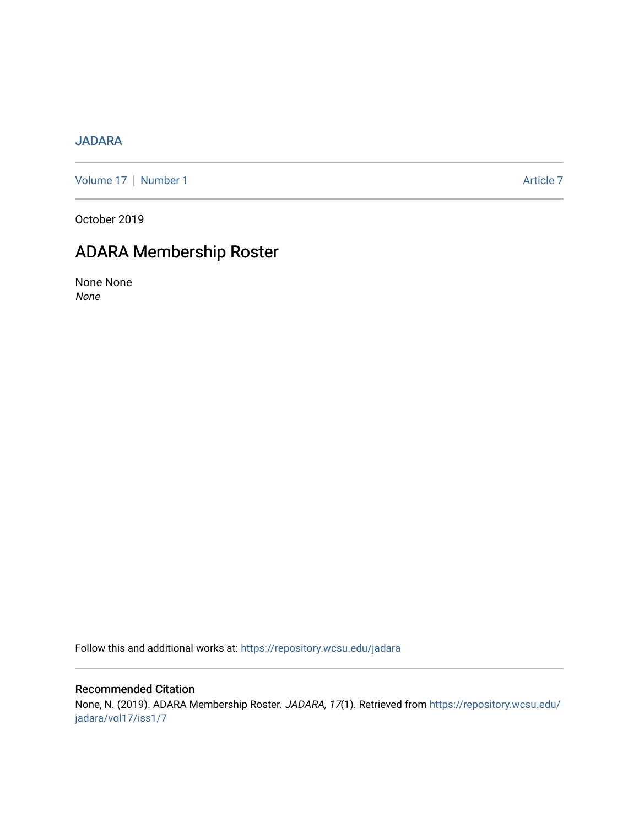# [JADARA](https://repository.wcsu.edu/jadara)

[Volume 17](https://repository.wcsu.edu/jadara/vol17) | [Number 1](https://repository.wcsu.edu/jadara/vol17/iss1) Article 7

October 2019

# ADARA Membership Roster

None None None

Follow this and additional works at: [https://repository.wcsu.edu/jadara](https://repository.wcsu.edu/jadara?utm_source=repository.wcsu.edu%2Fjadara%2Fvol17%2Fiss1%2F7&utm_medium=PDF&utm_campaign=PDFCoverPages)

# Recommended Citation

None, N. (2019). ADARA Membership Roster. JADARA, 17(1). Retrieved from [https://repository.wcsu.edu/](https://repository.wcsu.edu/jadara/vol17/iss1/7?utm_source=repository.wcsu.edu%2Fjadara%2Fvol17%2Fiss1%2F7&utm_medium=PDF&utm_campaign=PDFCoverPages) [jadara/vol17/iss1/7](https://repository.wcsu.edu/jadara/vol17/iss1/7?utm_source=repository.wcsu.edu%2Fjadara%2Fvol17%2Fiss1%2F7&utm_medium=PDF&utm_campaign=PDFCoverPages)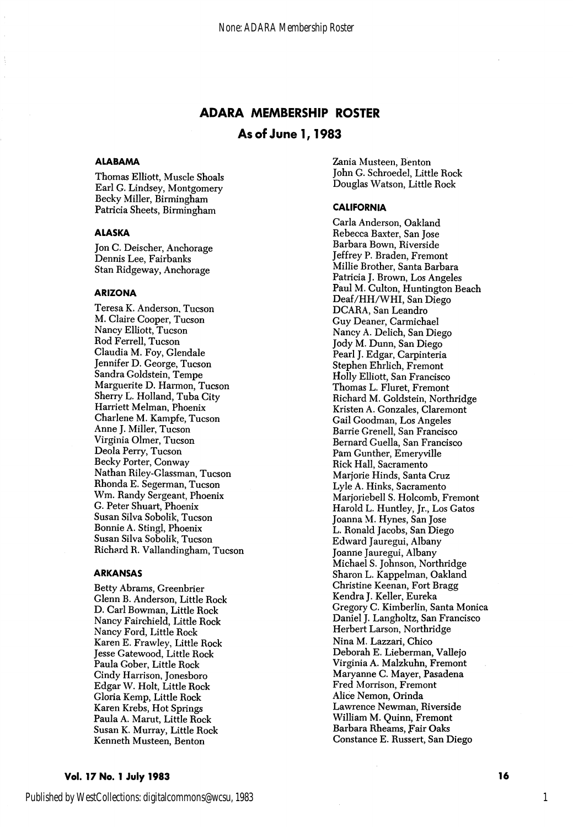# ADARA MEMBERSHIP ROSTER

# As of June 1,1983

# **ALABAMA**

Thomas Elliott, Muscle Shoals Earl G. Lindsey, Montgomery Becky Miller, Birmingham Patricia Sheets, Birmingham

# ALASKA

Jon C. Deischer, Anchorage Dennis Lee, Fairbanks Stan Ridgeway, Anchorage

#### ARIZONA

Teresa K. Anderson, Tucson M. Claire Cooper, Tucson Nancy Elliott, Tucson Rod Ferrell, Tucson Claudia M. Foy, Clendale Jennifer D. George, Tucson Sandra Goldstein, Tempe Marguerite D. Harmon, Tucson Sherry L. Holland, Tuba City Harriett Melman, Phoenix Charlene M. Kampfe, Tucson Anne J. Miller, Tucson Virginia Olmer, Tucson Deola Perry, Tucson Becky Porter, Conway Nathan Riley-Classman, Tucson Rhonda E. Segerman, Tucson Wm. Randy Sergeant, Phoenix C. Peter Shuart, Phoenix Susan Silva Sobolik, Tucson Bonnie A. Stingl, Phoenix Susan Silva Sobolik, Tucson Richard R. Vallandingham, Tucson

#### ARKANSAS

Betty Abrams, Creenbrier Glenn B. Anderson, Little Rock D. Carl Bowman, Little Rock Nancy Fairchield, Little Rock Nancy Ford, Little Rock Karen E. Frawley, Little Rock Jesse Catewood, Little Rock Paula Cober, Little Rock Cindy Harrison, Jonesboro Edgar W. Holt, Little Rock Gloria Kemp, Little Rock Karen Krebs, Hot Springs Paula A. Marut, Little Rock Susan K. Murray, Little Rock Kenneth Musteen, Benton

Zania Musteen, Benton John C. Schroedel, Little Rock Douglas Watson, Little Rock

#### CALIFORNIA

Carla Anderson, Oakland Rebecca Baxter, San Jose Barbara Bown, Riverside Jeffrey P. Braden, Fremont Millie Brother, Santa Barbara Patricia J. Brown, Los Angeles Paul M. Culton, Huntington Beach Deaf/HH/WHI, San Diego DCARA, San Leandro Guy Deaner, Carmichael Nancy A. Delich, San Diego Jody M. Dunn, San Diego Pearl J. Edgar, Carpinteria Stephen Ehrlich, Fremont Holly Elliott, San Francisco Thomas L. Fluret, Fremont Richard M. Goldstein, Northridge Kristen A. Gonzales, Claremont Gail Goodman, Los Angeles Barrie Grenell, San Francisco Bernard Guella, San Francisco Pam Gunther, Emeryville Rick Hall, Sacramento Marjorie Hinds, Santa Cruz Lyle A. Hinks, Sacramento Marjoriebell S. Holcomb, Fremont Harold L. Huntley, Jr., Los Gatos Joanna M. Hynes, San Jose L. Ronald Jacobs, San Diego Edward Jauregui, Albany Joanne Jauregui, Albany Michael S. Johnson, Northridge Sharon L. Kappelman, Oakland Christine Keenan, Fort Bragg Kendra J. Keller, Eureka Gregory C. Kimberlin, Santa Monica Daniel J. Langholtz, San Francisco Herbert Larson, Northridge Nina M. Lazzari, Chico Deborah E. Lieberman, Vallejo Virginia A. Malzkuhn, Fremont Maryanne G. Mayer, Pasadena Fred Morrison, Fremont Alice Nemon, Orinda Lawrence Newman, Riverside William M. Quinn, Fremont Barbara Rheams, fair Oaks Constance E. Russert, San Diego

### Vol. 17 No. 1 July 1983 16 No. 1 200 16 No. 1 200 16 No. 1 200 16 No. 1 200 16 No. 1 200 16 No. 1 200 16 No. 1

Published by WestCollections: digitalcommons@wcsu, 1983

1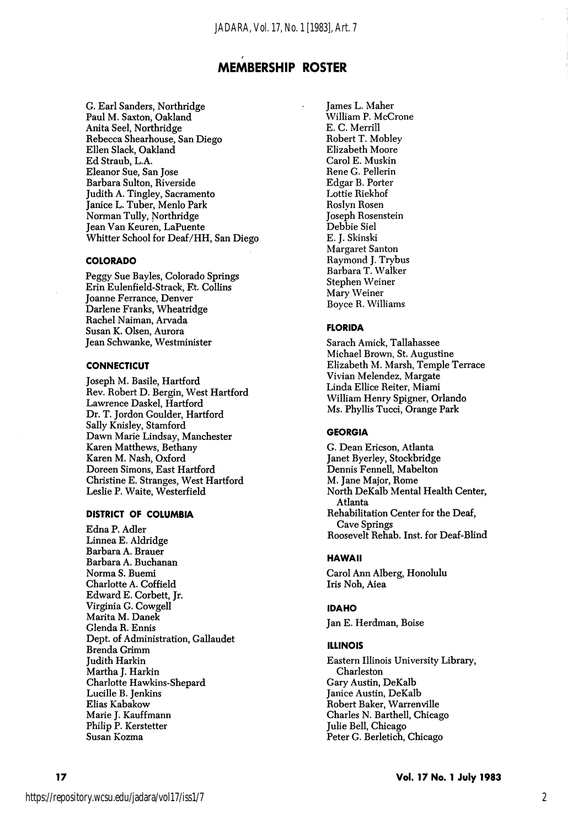G. Earl Sanders, Northridge Paul M. Saxton, Oakland Anita Seel, Northridge Rebecca Shearhouse, San Diego Ellen Slack, Oakland Ed Straub, L.A. Eleanor Sue, San Jose Barbara Sulton, Riverside Judith A. Tingley, Sacramento Janice L. Tuber, Menlo Park Norman TuUy, Northridge Jean Van Keuren, LaPuente Whitter School for Deaf/HH, San Diego

#### COLORADO

Peggy Sue Bayles, Colorado Springs Erin Eulenfield-Strack, Et. Collins Joanne Ferrance, Denver Darlene Franks, Wheatridge Rachel Naiman, Arvada Susan K. Olsen, Aurora Jean Schwanke, Westminister

#### **CONNECTICUT**

Joseph M. Basile, Hartford Rev. Robert D. Bergin, West Hartford Lawrence Daskel, Hartford Dr. T. Jordon Coulder, Hartford Sally Knisley, Stamford Dawn Marie Lindsay, Manchester Karen Matthews, Bethany Karen M. Nash, Oxford Doreen Simons, East Hartford Christine E. Stranges, West Hartford Leslie P. Waite, Westerfield

### DISTRICT OF COLUMBIA

Edna P. Adler Linnea E. Aldridge Barbara A. Brauer Barbara A. Buchanan Norma S. Buemi Charlotte A. Coffield Edward E. Corbett, Jr. Virginia C. Cowgell Marita M. Danek Clenda R. Ennis Dept. of Administration, Callaudet Brenda Crimm Judith Harkin Martha J. Harkin Charlotte Hawkins-Shepard Lucille B. Jenkins Elias Kabakow Marie J. Kauffmann Philip P. Kerstetter Susan Kozma

James L. Maher William P. McCrone E. C. Merrill Robert T. Mobley Elizabeth Moore Carol E. Muskin Rene C. Pellerin Edgar B. Porter Lottie Riekhof Roslyn Rosen Joseph Rosenstein Debbie Siel E. J. Skinski Margaret Santon Raymond J. Trybus Barbara T. Walker Stephen Weiner Mary Weiner Boyce R. Williams

### FLORIDA

Sarach Amick, Tallahassee Michael Brown, St. Augustine Elizabeth M. Marsh, Temple Terrace Vivian Melendez, Margate Linda Ellice Reiter, Miami William Henry Spigner, Orlando Ms. Phyllis Tucci, Orange Park

#### GEORGIA

C. Dean Ericson, Atlanta Janet Byerley, Stockbridge Dennis Fennell, Mabelton M. Jane Major, Rome North DeKalb Mental Health Center, Atlanta Rehabilitation Center for the Deaf, Cave Springs Roosevelt Rehab. Inst. for Deaf-Blind

### HAWAII

Carol Ann Alberg, Honolulu Iris Noh, Aiea

#### **IDAHO**

Jan E. Herdman, Boise

#### ILLINOIS

Eastern Illinois University Library, Charleston Gary Austin, DeKalb Janice Austin, DeKalb Robert Baker, Warrenville Charles N. Barthell, Chicago Julie Bell, Chicago Peter C. Berletich, Chicago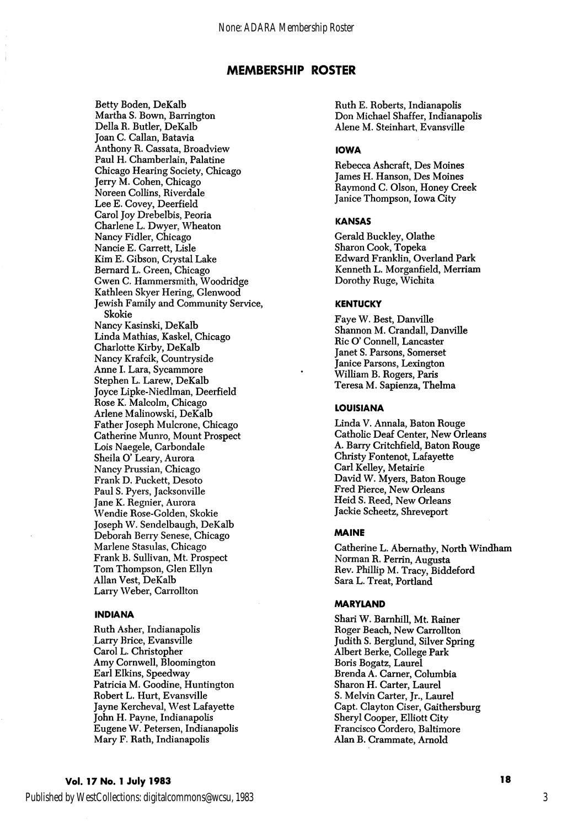Betty Boden, DeKalb Martha S. Bown, Barrington Delia R. Butler, DeKalb Joan C. Callan, Batavia Anthony R. Cassata, Broadview Paul H. Chamberlain, Palatine Chicago Hearing Society, Chicago Jerry M. Cohen, Chicago Noreen Collins, Riverdale Lee E. Covey, Deerfield Carol Joy Drebelbis, Peoria Charlene L. Dwyer, Wheaton Nancy Fidler, Chicago Nancie E. Garrett, Lisle Kim E. Gibson, Crystal Lake Bernard L. Green, Chicago Gwen C. Hammersmith, Woodridge Kathleen Skyer Hering, Glenwood Jewish Family and Community Service, Skokie Nancy Kasinski, DeKalb Linda Mathias, Kaskel, Chicago Charlotte Kirby, DeKalb Nancy Krafcik, Countryside Anne 1. Lara, Sycammore Stephen L. Larew, DeKalb Joyce Lipke-Niedlman, Deerfield Rose K. Malcolm, Chicago Arlene Malinowski, DeKalb Father Joseph Mulcrone, Chicago Catherine Munro, Mount Prospect Lois Naegele, Carbondale Sheila O' Leary, Aurora Nancy Prussian, Chicago Frank D. Puckett, Desoto Paul S. Pyers, Jacksonville Jane K. Regnier, Aurora Wendie Rose-Golden, Skokie Joseph W. Sendelbaugh, DeKalb Deborah Berry Senese, Chicago Marlene Stasulas, Chicago Frank B. Sullivan, Mt. Prospect Tom Thompson, Glen Ellyn Allan Vest, DeKalb Larry Weber, Carrollton

#### INDIANA

Ruth Asher, Indianapolis Larry Brice, Evansville Carol L. Christopher Amy Cornwell, Bloomington Earl Elkins, Speedway Patricia M. Goodine, Huntington Robert L. Hurt, Evansville Jayne Kercheval, West Lafayette John H. Payne, Indianapolis Eugene W. Petersen, Indianapolis Mary F. Rath, Indianapolis

Ruth E. Roberts, Indianapolis Don Michael Shaffer, Indianapolis Alene M. Steinhart, Evansville

# IOWA

Rebecca Ashcraft, Des Moines James H. Hanson, Des Moines Raymond C. Olson, Honey Creek Janice Thompson, Iowa City

#### KANSAS

Gerald Buckley, Olathe Sharon Cook, Topeka Edward Franklin, Overland Park Kenneth L. Morganfield, Merriam Dorothy Ruge, Wichita

# **KENTUCKY**

Faye W. Best, Danville Shannon M. Crandall, Danville Ric O' Connell, Lancaster Janet S. Parsons, Somerset Janice Parsons, Lexington William B. Rogers, Paris Teresa M. Sapienza, Thelma

#### LOUISIANA

Linda V. Annala, Baton Rouge Catholic Deaf Center, New Orleans A. Barry Critchfield, Baton Rouge Christy Fontenot, Lafayette Carl Kelley, Metairie David W. Myers, Baton Rouge Fred Pierce, New Orleans Heid S. Reed, New Orleans Jackie Scheetz, Shreveport

#### MAINE

Catherine L. Abemathy, North Windham Norman R. Perrin, Augusta Rev. Phillip M. Tracy, Biddeford Sara L. Treat, Portland

#### MARYLAND

Shari W. Barnhill, Mt. Rainer Roger Beach, New Carrollton Judith S. Berglund, Silver Spring Albert Berke, College Park Boris Bogatz, Laurel Brenda A. Gamer, Columbia Sharon H. Carter, Laurel S. Melvin Carter, Jr., Laurel Capt. Clayton Ciser, Gaithersburg Sheryl Cooper, Elliott City Francisco Cordero, Baltimore Alan B. Crammate, Arnold

# Vol. 17 No. 1 July 1983 **18**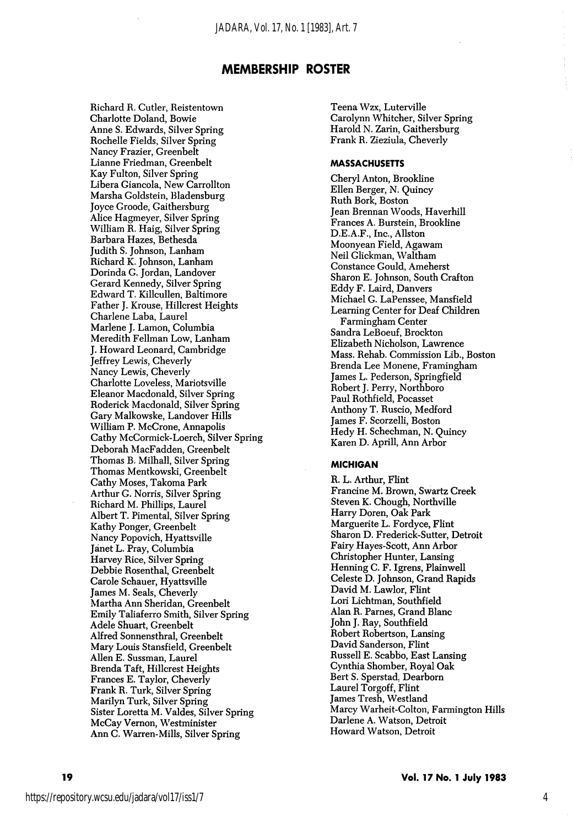Richard R. Cutler, Reistentown Charlotte Doland, Bowie Anne S. Edwards, Silver Spring Rochelle Fields, Silver Spring Nancy Frazier, Greenbelt Lianne Friedman, Greenbelt Kay Fulton, Silver Spring Libera Giancola, New Carrollton Marsha Goldstein, Bladensburg Joyce Groode, Gaithersburg Alice Hagmeyer, Silver Spring William R. Haig, Silver Spring Barbara Hazes, Bethesda Judith S. Johnson, Lanham Richard K. Johnson, Lanham Dorinda G. Jordan, Landover Gerard Kennedy, Silver Spring Edward T. Killcullen, Baltimore Father J. Krouse, Hillcrest Heights Gharlene Laba, Laurel Marlene J. Lamon, Columbia Meredith Fellman Low, Lanham J. Howard Leonard, Cambridge Jeffrey Lewis, Gheverly Nancy Lewis, Gheverly Charlotte Loveless, Mariotsville Eleanor Macdonald, Silver Spring Roderick Macdonald, Silver Spring Gary Malkowske, Landover Hills William P. McGrone, Annapolis Cathy McGormick-Loerch, Silver Spring Deborah MacFadden, Greenbelt Thomas B. Milhall, Silver Spring Thomas Mentkowski, Greenbelt Cathy Moses, Takoma Park Arthur G. Norris, Silver Spring Richard M. Phillips, Laurel Albert T. Pimental, Silver Spring Kathy Ponger, Greenbelt Nancy Popovich, Hyattsville Janet L. Pray, Columbia Harvey Rice, Silver Spring Debbie Rosenthal, Greenbelt Carole Schauer, Hyattsville James M. Seals, Gheverly Martha Ann Sheridan, Greenbelt Emily Taliaferro Smith, Silver Spring Adele Shuart, Greenbelt Alfred Sonnensthral, Greenbelt Mary Louis Stansfield, Greenbelt Allen E. Sussman, Laurel Brenda Taft, Hillcrest Heights Frances E. Taylor, Gheverly Frank R. Turk, Silver Spring Marilyn Turk, Silver Spring Sister Loretta M. Valdes, Silver Spring McCay Vernon, Westminister Ann G. Warren-Mills, Silver Spring

Teena Wzx, Luterville Garolynn Whitcher, Silver Spring Harold N. Zarin, Gaithersburg Frank R. Zieziula, Gheverly

#### **MASSACHUSETTS**

Cheryl Anton, Brookline Ellen Berger, N. Quincy Ruth Bork, Boston Jean Brennan Woods, Haverhill Frances A. Burstein, Brookline D.E.A.F., Inc., Allston Moonyean Field, Agawam Neil Glickman, Waltham Constance Gould, Ameherst Sharon E. Johnson, South Grafton Eddy F. Laird, Danvers Michael G. LaPenssee, Mansfield Learning Center for Deaf Children Farmingham Center Sandra LeBoeuf, Brockton Elizabeth Nicholson, Lawrence Mass. Rehab. Commission Lib., Boston Brenda Lee Monene, Framingham James L. Pederson, Springfield Robert J. Perry, Northboro Paul Rothfield, Pocasset Anthony T. Ruscio, Medford James F. Scorzelli, Boston Hedy H. Schechman, N. Quincy Karen D. Aprill, Ann Arbor

# **MICHIGAN**

R. L. Arthur, Flint Francine M. Brown, Swartz Creek Steven K. Chough, Northville Harry Doren, Oak Park Marguerite L. Fordyce, Flint Sharon D. Frederick-Sutter, Detroit Fairy Hayes-Scott, Ann Arbor Christopher Hunter, Lansing Henning C. F. Igrens, Plainwell Celeste D. Johnson, Grand Rapids David M. Lawlor, Flint Lori Lichtman, Southfield Alan R. Parnes, Grand Blanc John J. Ray, Southfield Robert Robertson, Lansing David Sanderson, Flint Russell E. Scabbo, East Lansing Cynthia Shomber, Royal Oak Bert S. Sperstad, Dearborn Laurel Torgoff, Flint James Tresh, Westland Marcy Warheit-Colton, Farmington Hills Darlene A. Watson, Detroit Howard Watson, Detroit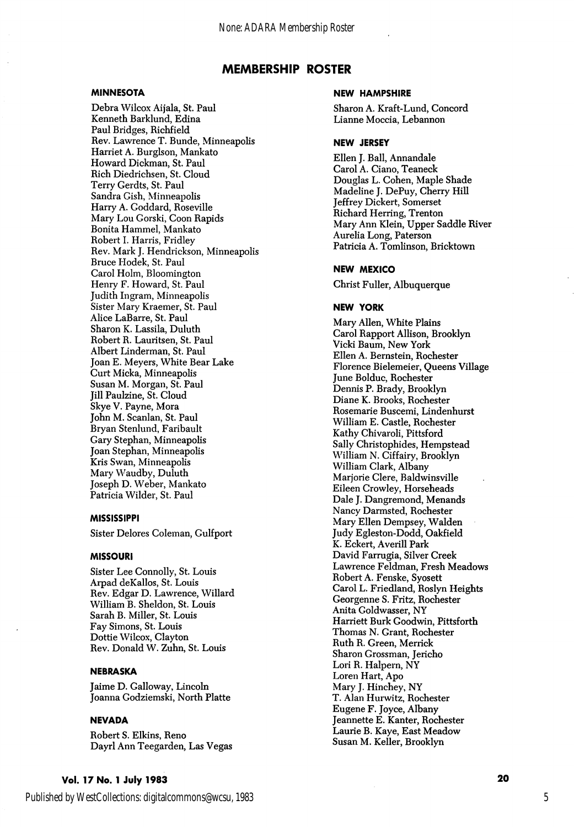## MINNESOTA

Debra Wilcox Aijala, St. Paul Kenneth Barklund, Edina Paul Bridges, Richfield Rev. Lawrence T. Bunde, Minneapolis Harriet A. Burglson, Mankato Howard Dickman, St. Paul Rich Diedrichsen, St. Cloud Terry Gerdts, St. Paul Sandra Gish, Minneapolis Harry A. Goddard, Roseville Mary Lou Gorski, Goon Rapids Bonita Hammel, Mankato Robert 1. Harris, Fridley Rev. Mark J. Hendrickson, Minneapolis Bruce Hodek, St. Paul Carol Holm, Bloomington Henry F. Howard, St. Paul Judith Ingram, Minneapolis Sister Mary Kraemer, St. Paul Alice LaBarre, St. Paul Sharon K. Lassila, Duluth Robert R. Lauritsen, St. Paul Albert Linderman, St. Paul Joan E. Meyers, White Bear Lake Curt Micka, Minneapolis Susan M. Morgan, St. Paul Jill Paulzine, St. Cloud Skye V. Payne, Mora John M. Scanlan, St. Paul Bryan Stenlund, Faribault Gary Stephan, Minneapolis Joan Stephan, Minneapolis Kris Swan, Minneapolis Mary Waudby, Duluth Joseph D. Weber, Mankato Patricia Wilder, St. Paul

# MISSISSIPPI

Sister Delores Goleman, Gulfport

#### MISSOURI

Sister Lee Connolly, St. Louis Arpad deKallos, St. Louis Rev. Edgar D. Lawrence, Willard William B. Sheldon, St. Louis Sarah B. Miller, St. Louis Fay Simons, St. Louis Dottie Wilcox, Clayton Rev. Donald W. Zuhn, St. Louis

## NEBRASKA

Jaime D. Galloway, Lincoln Joanna Godziemski, North Platte

### NEVADA

Robert S. Elkins, Reno Dayrl Ann Teegarden, Las Vegas

#### NEW HAMPSHIRE

Sharon A. Kraft-Lund, Concord Lianne Moccia, Lebannon

#### NEW JERSEY

Ellen J. Ball, Annandale Carol A. Giano, Teaneck Douglas L. Cohen, Maple Shade Madeline J. DePuy, Cherry Hill Jeffrey Dickert, Somerset Richard Herring, Trenton Mary Ann Klein, Upper Saddle River Aurelia Long, Paterson Patricia A. Tomlinson, Bricktown

### NEW MEXICO

Christ Fuller, Albuquerque

### NEW YORK

Mary Allen, White Plains Carol Rapport Allison, Brooklyn Vicki Baum, New York Ellen A. Bernstein, Rochester Florence Bielemeier, Queens Village June Bolduc, Rochester Dennis P. Brady, Brooklyn Diane K. Brooks, Rochester Rosemarie Buscemi, Lindenhurst William E. Castle, Rochester Kathy Chivaroli, Pittsford Sally Christophides, Hempstead William N. Ciffairy, Brooklyn William Clark, Albany Marjorie Clere, Baldwinsville Eileen Crowley, Horseheads Dale J. Dangremond, Menands Nancy Darmsted, Rochester Mary Ellen Dempsey, Walden Judy Egleston-Dodd, Oakfield K. Eckert, Averill Park David Farrugia, Silver Creek Lawrence Feldman, Fresh Meadows Robert A. Fenske, Syosett Carol L. Friedland, Roslyn Heights Georgenne S. Fritz, Rochester Anita Goldwasser, NY Harriett Burk Goodwin, Pittsforth Thomas N. Grant, Rochester Ruth R. Green, Merrick Sharon Grossman, Jericho Lori R. Halpern, NY Loren Hart, Apo Mary J. Hinchey, NY T. Alan Hurwitz, Rochester Eugene F. Joyce, Albany Jeannette E. Kanter, Rochester Laurie B. Kaye, East Meadow Susan M. Keller, Brooklyn

# Vol. 17 No. 1 July 1983 20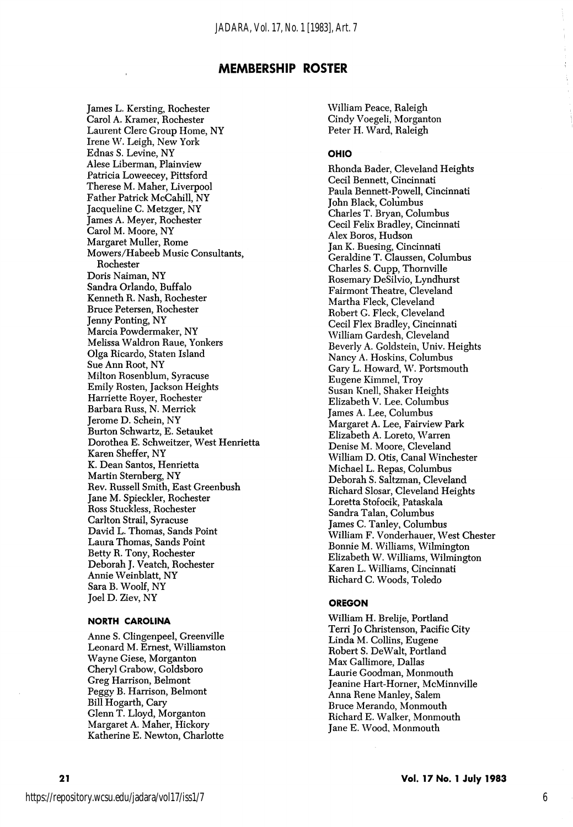James L. Kersting, Rochester Carol A. Kramer, Rochester Laurent Clerc Group Home, NY Irene W. Leigh, New York Ednas S. Levine, NY Alese Liberman, Plainview Patricia Loweecey, Pittsford Therese M. Maher, Liverpool Father Patrick McCahill, NY Jacqueline C. Metzger, NY James A. Meyer, Rochester Carol M. Moore, NY Margaret Muller, Rome Mowers/Habeeb Music Consultants, Rochester Doris Naiman, NY Sandra Orlando, Buffalo Kenneth R. Nash, Rochester Bruce Petersen, Rochester Jenny Ponting, NY Marcia Powdermaker, NY Melissa Waldron Raue, Yonkers Olga Ricardo, Staten Island Sue Ann Root, NY Milton Rosenblum, Syracuse Emily Rosten, Jackson Heights Harriette Royer, Rochester Barbara Russ, N. Merrick Jerome D. Schein, NY Burton Schwartz, E. Setauket Dorothea E. Schweitzer, West Henrietta Karen Sheffer, NY K. Dean Santos, Henrietta Martin Sternberg, NY Rev. Russell Smith, East Greenbush Jane M. Spieckler, Rochester Ross Stuckless, Rochester Carlton Strail, Syracuse David L. Thomas, Sands Point Laura Thomas, Sands Point Betty R. Tony, Rochester Deborah J. Veatch, Rochester Annie Weinblatt, NY Sara B, Woolf, NY Joel D. Ziev, NY

# NORTH CAROLINA

Anne S. Clingenpeel, Greenville Leonard M. Ernest, Williamston Wayne Giese, Morganton Cheryl Grabow, Goldsboro Greg Harrison, Belmont Peggy B. Harrison, Belmont Bill Hogarth, Gary Glenn T. Lloyd, Morganton Margaret A. Maher, Hickory Katherine E, Newton, Charlotte

William Peace, Raleigh Cindy Voegeli, Morganton Peter H. Ward, Raleigh

# OHIO

Rhonda Bader, Cleveland Heights Cecil Bennett, Cincinnati Paula Bennett-Powell, Cincinnati John Black, Columbus Charles T. Bryan, Columbus Cecil Felix Bradley, Cincinnati Alex Boros, Hudson Jan K. Buesing, Cincinnati Geraldine T. Claussen, Columbus Charles S. Cupp, Thornville Rosemary DeSilvio, Lyndhurst Fairmont Theatre, Cleveland Martha Fleck, Cleveland Robert G. Fleck, Cleveland Cecil Flex Bradley, Cincinnati William Gardesh, Cleveland Beverly A. Goldstein, Univ. Heights Nancy A. Hoskins, Columbus Gary L. Howard, W. Portsmouth Eugene Kimmel, Troy Susan Knell, Shaker Heights Elizabeth V. Lee. Columbus James A. Lee, Columbus Margaret A. Lee, Fairview Park Elizabeth A. Loreto, Warren Denise M. Moore, Cleveland William D. Otis, Canal Winchester Michael L. Repas, Columbus Deborah S. Saltzman, Cleveland Richard Slosar, Cleveland Heights Loretta Stofocik, Pataskala Sandra Talan, Columbus James C. Tanley, Columbus William F. Vonderhauer, West Chester Bonnie M. Williams, Wilmington Elizabeth W. Williams, Wilmington Karen L. Williams, Cincinnati Richard C. Woods, Toledo

### OREGON

William H. Brelije, Portland Terri Jo Christenson, Pacific City Linda M. Collins, Eugene Robert S. DeWalt, Portland Max Gallimore, Dallas Laurie Goodman, Monmouth Jeanine Hart-Horner, McMinnville Anna Rene Manley, Salem Bruce Merando, Monmouth Richard E. Walker, Monmouth Jane E. Wood, Monmouth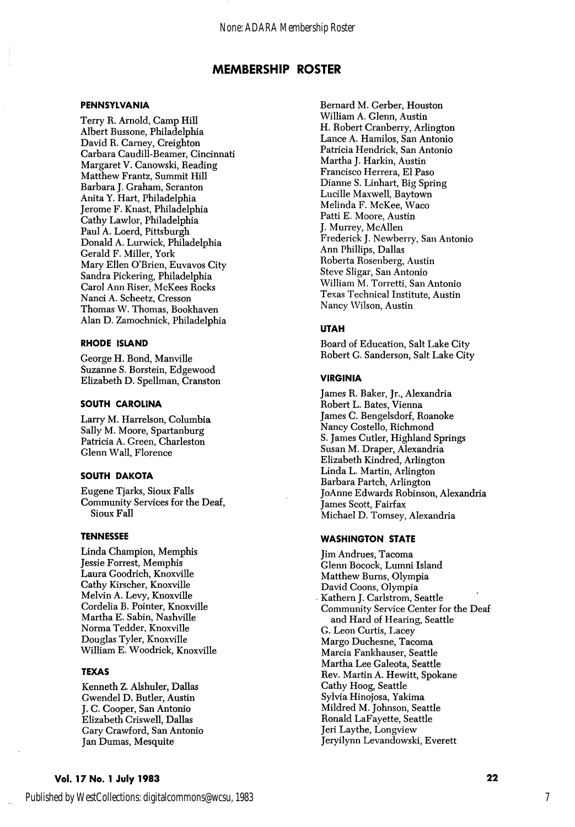#### PENNSYLVANIA

Terry R. Arnold, Camp Hill Albert Bussone, Philadelphia David R. Carney, Creighton Carbara Caudill-Beamer, Cincinnati Margaret V. Canowski, Reading Matthew Frantz, Summit Hill Barbara J. Graham, Scranton Anita Y. Hart, Philadelphia Jerome F. Knast, Philadelphia Cathy Lawlor, Philadelphia Paul A. Loerd, Pittsburgh Donald A. Lurwick, Philadelphia Gerald F. Miller, York Mary Ellen O'Brien, Euvavos City Sandra Pickering, Philadelphia Carol Ann Riser, McKees Rocks Nanci A. Scheetz, Cresson Thomas W. Thomas, Bookhaven Alan D. Zamochnick, Philadelphia

### RHODE ISLAND

George H. Bond, Manville Suzanne S. Borstein, Edgewood Elizabeth D. Spellman, Cranston

# SOUTH CAROLINA

Larry M. Harrelson, Columbia Sally M. Moore, Spartanburg Patricia A. Green, Charleston Glenn Wall, Florence

### SOUTH DAKOTA

Eugene Tjarks, Sioux Falls Community Services for the Deaf, Sioux Fall

### TENNESSEE

Linda Champion, Memphis Jessie Forrest, Memphis Laura Goodrich, Knoxville Cathy Kirscher, Knoxville Melvin A. Levy, Knoxville Cordelia B. Pointer, Knoxville Martha E. Sabin, Nashville Norma Tedder, Knoxville Douglas Tyler, Knoxville William E. Woodrick, Knoxville

# TEXAS

Kenneth Z. Alshuler, Dallas Gwendel D. Butler, Austin J. C. Cooper, San Antonio Elizabeth Criswell, Dallas Gary Crawford, San Antonio Jan Dumas, Mesquite

Bernard M. Gerber, Houston William A. Glenn, Austin H. Robert Cranberry, Arlington Lance A. Hamilos, San Antonio Patricia Hendrick, San Antonio Martha J. Harkin, Austin Francisco Herrera, El Paso Dianne S. Linhart, Big Spring Lucille Maxwell, Baytown Melinda F. McKee, Waco Patti E. Moore, Austin J. Murrey, McAllen Frederick J. Newberry, San Antonio Ann Phillips, Dallas Roberta Rosenberg, Austin Steve Sligar, San Antonio William M. Torretti, San Antonio Texas Technical Institute, Austin Nancy Wilson, Austin

### UTAH

Board of Education, Salt Lake City Robert G. Sanderson, Salt Lake City

#### VIRGINIA

James R. Baker, Jr., Alexandria Robert L. Bates, Vienna James C. Bengelsdorf, Roanoke Nancy Costello, Richmond S. James Cutler, Highland Springs Susan M. Draper, Alexandria Elizabeth Kindred, Arlington Linda L. Martin, Arlington Barbara Partch, Arlington Jo Anne Edwards Robinson, Alexandria James Scott, Fairfax Michael D. Tomsey, Alexandria

# WASHINGTON STATE

Jim Andrues, Tacoma Glenn Bocock, Lumni Island Matthew Burns, Olympia David Coons, Olympia Kathern J. Carlstrom, Seattle Community Service Center for the Deaf and Hard of Hearing, Seattle G. Leon Curtis, Lacey Margo Duchesne, Tacoma Marcia Fankhauser, Seattle Martha Lee Galeota, Seattle Rev. Martin A. Hewitt, Spokane Cathy Hoog, Seattle Sylvia Hinojosa, Yakima Mildred M. Johnson, Seattle Ronald LaFayette, Seattle Jeri Laythe, Longview Jeryilynn Levandowski, Everett